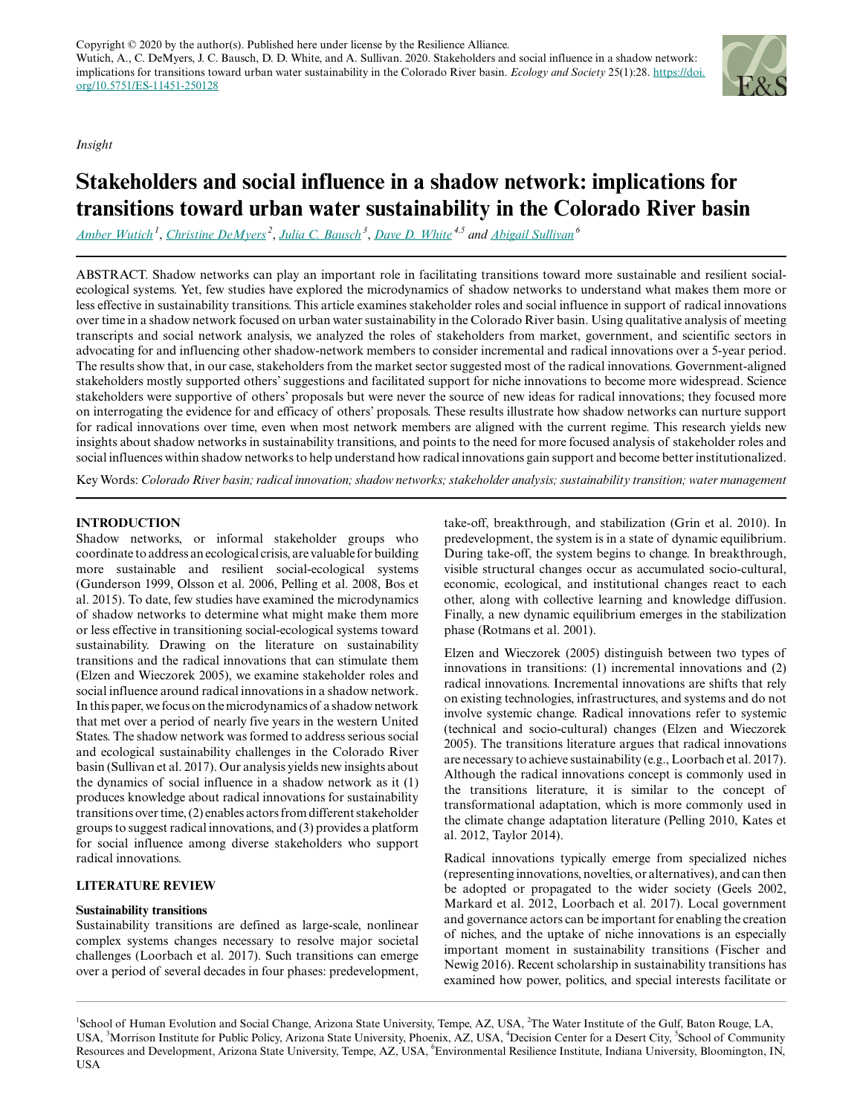Copyright  $\odot$  2020 by the author(s). Published here under license by the Resilience Alliance. Wutich, A., C. DeMyers, J. C. Bausch, D. D. White, and A. Sullivan. 2020. Stakeholders and social influence in a shadow network: implications for transitions toward urban water sustainability in the Colorado River basin. *Ecology and Society* 25(1):28. [https://doi.](https://doi.org/10.5751/ES-11451-250128) [org/10.5751/ES-11451-250128](https://doi.org/10.5751/ES-11451-250128)

*Insight*

# **Stakeholders and social influence in a shadow network: implications for transitions toward urban water sustainability in the Colorado River basin**

*[Amber Wutich](mailto:Amber.Wutich@asu.edu)<sup>1</sup>* , *[Christine DeMyers](mailto:cdemyers@thewaterinstitute.org)<sup>2</sup>* , *[Julia C. Bausch](mailto:jcbausch@asu.edu)<sup>3</sup>* , *[Dave D. White](mailto:Dave.White@asu.edu) 4,5 and [Abigail Sullivan](mailto:abisulli@iu.edu)<sup>6</sup>*

ABSTRACT. Shadow networks can play an important role in facilitating transitions toward more sustainable and resilient socialecological systems. Yet, few studies have explored the microdynamics of shadow networks to understand what makes them more or less effective in sustainability transitions. This article examines stakeholder roles and social influence in support of radical innovations over time in a shadow network focused on urban water sustainability in the Colorado River basin. Using qualitative analysis of meeting transcripts and social network analysis, we analyzed the roles of stakeholders from market, government, and scientific sectors in advocating for and influencing other shadow-network members to consider incremental and radical innovations over a 5-year period. The results show that, in our case, stakeholders from the market sector suggested most of the radical innovations. Government-aligned stakeholders mostly supported others' suggestions and facilitated support for niche innovations to become more widespread. Science stakeholders were supportive of others' proposals but were never the source of new ideas for radical innovations; they focused more on interrogating the evidence for and efficacy of others' proposals. These results illustrate how shadow networks can nurture support for radical innovations over time, even when most network members are aligned with the current regime. This research yields new insights about shadow networks in sustainability transitions, and points to the need for more focused analysis of stakeholder roles and social influences within shadow networks to help understand how radical innovations gain support and become better institutionalized.

Key Words: *Colorado River basin; radical innovation; shadow networks; stakeholder analysis; sustainability transition; water management*

# **INTRODUCTION**

Shadow networks, or informal stakeholder groups who coordinate to address an ecological crisis, are valuable for building more sustainable and resilient social-ecological systems (Gunderson 1999, Olsson et al. 2006, Pelling et al. 2008, Bos et al. 2015). To date, few studies have examined the microdynamics of shadow networks to determine what might make them more or less effective in transitioning social-ecological systems toward sustainability. Drawing on the literature on sustainability transitions and the radical innovations that can stimulate them (Elzen and Wieczorek 2005), we examine stakeholder roles and social influence around radical innovations in a shadow network. In this paper, we focus on the microdynamics of a shadow network that met over a period of nearly five years in the western United States. The shadow network was formed to address serious social and ecological sustainability challenges in the Colorado River basin (Sullivan et al. 2017). Our analysis yields new insights about the dynamics of social influence in a shadow network as it (1) produces knowledge about radical innovations for sustainability transitions over time, (2) enables actors from different stakeholder groups to suggest radical innovations, and (3) provides a platform for social influence among diverse stakeholders who support radical innovations.

## **LITERATURE REVIEW**

## **Sustainability transitions**

Sustainability transitions are defined as large-scale, nonlinear complex systems changes necessary to resolve major societal challenges (Loorbach et al. 2017). Such transitions can emerge over a period of several decades in four phases: predevelopment, take-off, breakthrough, and stabilization (Grin et al. 2010). In predevelopment, the system is in a state of dynamic equilibrium. During take-off, the system begins to change. In breakthrough, visible structural changes occur as accumulated socio-cultural, economic, ecological, and institutional changes react to each other, along with collective learning and knowledge diffusion. Finally, a new dynamic equilibrium emerges in the stabilization phase (Rotmans et al. 2001).

Elzen and Wieczorek (2005) distinguish between two types of innovations in transitions: (1) incremental innovations and (2) radical innovations. Incremental innovations are shifts that rely on existing technologies, infrastructures, and systems and do not involve systemic change. Radical innovations refer to systemic (technical and socio-cultural) changes (Elzen and Wieczorek 2005). The transitions literature argues that radical innovations are necessary to achieve sustainability (e.g., Loorbach et al. 2017). Although the radical innovations concept is commonly used in the transitions literature, it is similar to the concept of transformational adaptation, which is more commonly used in the climate change adaptation literature (Pelling 2010, Kates et al. 2012, Taylor 2014).

Radical innovations typically emerge from specialized niches (representing innovations, novelties, or alternatives), and can then be adopted or propagated to the wider society (Geels 2002, Markard et al. 2012, Loorbach et al. 2017). Local government and governance actors can be important for enabling the creation of niches, and the uptake of niche innovations is an especially important moment in sustainability transitions (Fischer and Newig 2016). Recent scholarship in sustainability transitions has examined how power, politics, and special interests facilitate or

<sup>1</sup>School of Human Evolution and Social Change, Arizona State University, Tempe, AZ, USA, <sup>2</sup>The Water Institute of the Gulf, Baton Rouge, LA, USA, <sup>3</sup>Morrison Institute for Public Policy, Arizona State University, Phoenix, AZ, USA, <sup>4</sup>Decision Center for a Desert City, <sup>5</sup>School of Community Resources and Development, Arizona State University, Tempe, AZ, USA, <sup>6</sup>Environmental Resilience Institute, Indiana University, Bloomington, IN, USA

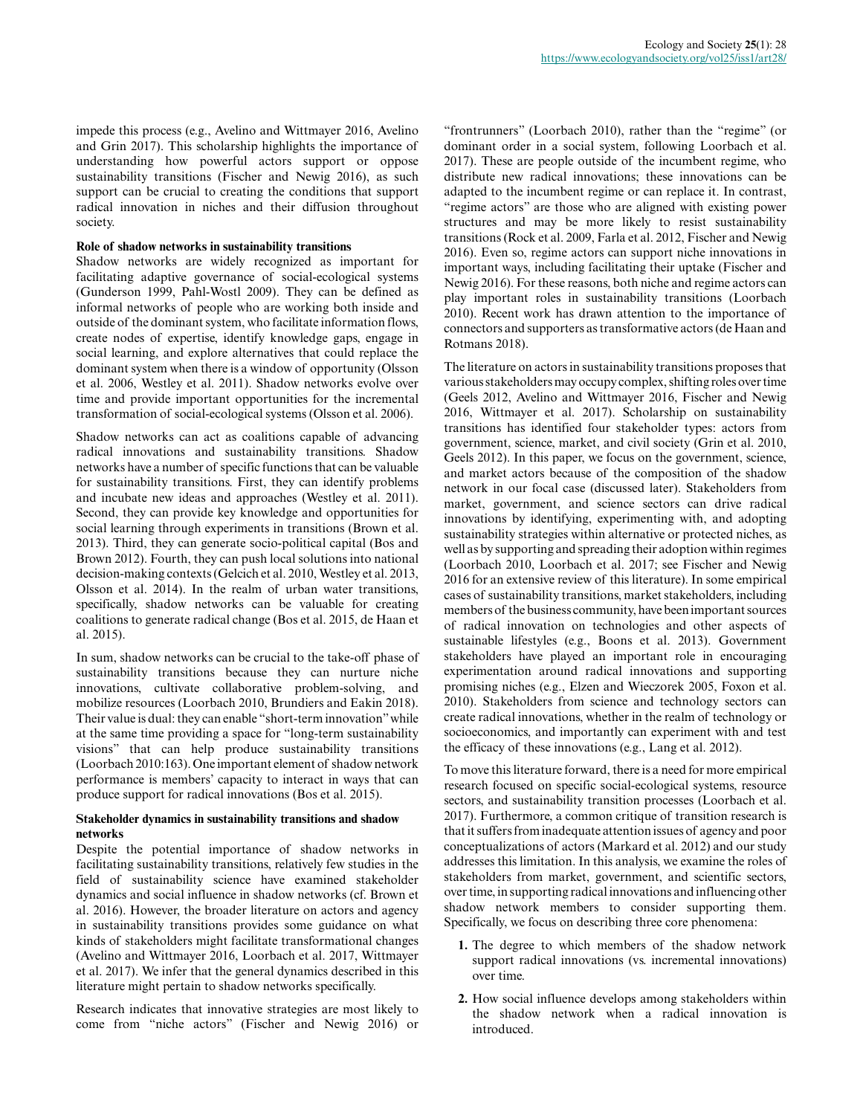impede this process (e.g., Avelino and Wittmayer 2016, Avelino and Grin 2017). This scholarship highlights the importance of understanding how powerful actors support or oppose sustainability transitions (Fischer and Newig 2016), as such support can be crucial to creating the conditions that support radical innovation in niches and their diffusion throughout society.

## **Role of shadow networks in sustainability transitions**

Shadow networks are widely recognized as important for facilitating adaptive governance of social-ecological systems (Gunderson 1999, Pahl-Wostl 2009). They can be defined as informal networks of people who are working both inside and outside of the dominant system, who facilitate information flows, create nodes of expertise, identify knowledge gaps, engage in social learning, and explore alternatives that could replace the dominant system when there is a window of opportunity (Olsson et al. 2006, Westley et al. 2011). Shadow networks evolve over time and provide important opportunities for the incremental transformation of social-ecological systems (Olsson et al. 2006).

Shadow networks can act as coalitions capable of advancing radical innovations and sustainability transitions. Shadow networks have a number of specific functions that can be valuable for sustainability transitions. First, they can identify problems and incubate new ideas and approaches (Westley et al. 2011). Second, they can provide key knowledge and opportunities for social learning through experiments in transitions (Brown et al. 2013). Third, they can generate socio-political capital (Bos and Brown 2012). Fourth, they can push local solutions into national decision-making contexts (Gelcich et al. 2010, Westley et al. 2013, Olsson et al. 2014). In the realm of urban water transitions, specifically, shadow networks can be valuable for creating coalitions to generate radical change (Bos et al. 2015, de Haan et al. 2015).

In sum, shadow networks can be crucial to the take-off phase of sustainability transitions because they can nurture niche innovations, cultivate collaborative problem-solving, and mobilize resources (Loorbach 2010, Brundiers and Eakin 2018). Their value is dual: they can enable "short-term innovation" while at the same time providing a space for "long-term sustainability visions" that can help produce sustainability transitions (Loorbach 2010:163). One important element of shadow network performance is members' capacity to interact in ways that can produce support for radical innovations (Bos et al. 2015).

## **Stakeholder dynamics in sustainability transitions and shadow networks**

Despite the potential importance of shadow networks in facilitating sustainability transitions, relatively few studies in the field of sustainability science have examined stakeholder dynamics and social influence in shadow networks (cf. Brown et al. 2016). However, the broader literature on actors and agency in sustainability transitions provides some guidance on what kinds of stakeholders might facilitate transformational changes (Avelino and Wittmayer 2016, Loorbach et al. 2017, Wittmayer et al. 2017). We infer that the general dynamics described in this literature might pertain to shadow networks specifically.

Research indicates that innovative strategies are most likely to come from "niche actors" (Fischer and Newig 2016) or

"frontrunners" (Loorbach 2010), rather than the "regime" (or dominant order in a social system, following Loorbach et al. 2017). These are people outside of the incumbent regime, who distribute new radical innovations; these innovations can be adapted to the incumbent regime or can replace it. In contrast, "regime actors" are those who are aligned with existing power structures and may be more likely to resist sustainability transitions (Rock et al. 2009, Farla et al. 2012, Fischer and Newig 2016). Even so, regime actors can support niche innovations in important ways, including facilitating their uptake (Fischer and Newig 2016). For these reasons, both niche and regime actors can play important roles in sustainability transitions (Loorbach 2010). Recent work has drawn attention to the importance of connectors and supporters as transformative actors (de Haan and Rotmans 2018).

The literature on actors in sustainability transitions proposes that various stakeholders may occupy complex, shifting roles over time (Geels 2012, Avelino and Wittmayer 2016, Fischer and Newig 2016, Wittmayer et al. 2017). Scholarship on sustainability transitions has identified four stakeholder types: actors from government, science, market, and civil society (Grin et al. 2010, Geels 2012). In this paper, we focus on the government, science, and market actors because of the composition of the shadow network in our focal case (discussed later). Stakeholders from market, government, and science sectors can drive radical innovations by identifying, experimenting with, and adopting sustainability strategies within alternative or protected niches, as well as by supporting and spreading their adoption within regimes (Loorbach 2010, Loorbach et al. 2017; see Fischer and Newig 2016 for an extensive review of this literature). In some empirical cases of sustainability transitions, market stakeholders, including members of the business community, have been important sources of radical innovation on technologies and other aspects of sustainable lifestyles (e.g., Boons et al. 2013). Government stakeholders have played an important role in encouraging experimentation around radical innovations and supporting promising niches (e.g., Elzen and Wieczorek 2005, Foxon et al. 2010). Stakeholders from science and technology sectors can create radical innovations, whether in the realm of technology or socioeconomics, and importantly can experiment with and test the efficacy of these innovations (e.g., Lang et al. 2012).

To move this literature forward, there is a need for more empirical research focused on specific social-ecological systems, resource sectors, and sustainability transition processes (Loorbach et al. 2017). Furthermore, a common critique of transition research is that it suffers from inadequate attention issues of agency and poor conceptualizations of actors (Markard et al. 2012) and our study addresses this limitation. In this analysis, we examine the roles of stakeholders from market, government, and scientific sectors, over time, in supporting radical innovations and influencing other shadow network members to consider supporting them. Specifically, we focus on describing three core phenomena:

- **1.** The degree to which members of the shadow network support radical innovations (vs. incremental innovations) over time.
- **2.** How social influence develops among stakeholders within the shadow network when a radical innovation is introduced.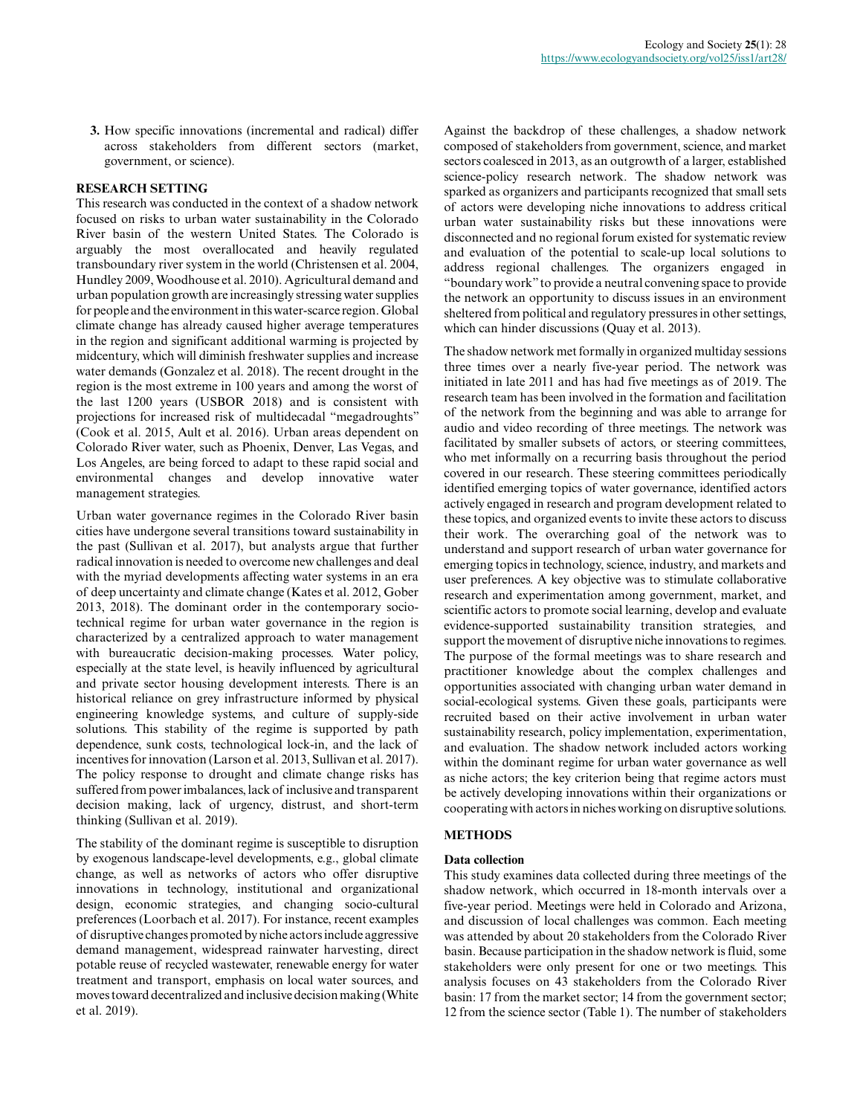**3.** How specific innovations (incremental and radical) differ across stakeholders from different sectors (market, government, or science).

## **RESEARCH SETTING**

This research was conducted in the context of a shadow network focused on risks to urban water sustainability in the Colorado River basin of the western United States. The Colorado is arguably the most overallocated and heavily regulated transboundary river system in the world (Christensen et al. 2004, Hundley 2009, Woodhouse et al. 2010). Agricultural demand and urban population growth are increasingly stressing water supplies for people and the environment in this water-scarce region. Global climate change has already caused higher average temperatures in the region and significant additional warming is projected by midcentury, which will diminish freshwater supplies and increase water demands (Gonzalez et al. 2018). The recent drought in the region is the most extreme in 100 years and among the worst of the last 1200 years (USBOR 2018) and is consistent with projections for increased risk of multidecadal "megadroughts" (Cook et al. 2015, Ault et al. 2016). Urban areas dependent on Colorado River water, such as Phoenix, Denver, Las Vegas, and Los Angeles, are being forced to adapt to these rapid social and environmental changes and develop innovative water management strategies.

Urban water governance regimes in the Colorado River basin cities have undergone several transitions toward sustainability in the past (Sullivan et al. 2017), but analysts argue that further radical innovation is needed to overcome new challenges and deal with the myriad developments affecting water systems in an era of deep uncertainty and climate change (Kates et al. 2012, Gober 2013, 2018). The dominant order in the contemporary sociotechnical regime for urban water governance in the region is characterized by a centralized approach to water management with bureaucratic decision-making processes. Water policy, especially at the state level, is heavily influenced by agricultural and private sector housing development interests. There is an historical reliance on grey infrastructure informed by physical engineering knowledge systems, and culture of supply-side solutions. This stability of the regime is supported by path dependence, sunk costs, technological lock-in, and the lack of incentives for innovation (Larson et al. 2013, Sullivan et al. 2017). The policy response to drought and climate change risks has suffered from power imbalances, lack of inclusive and transparent decision making, lack of urgency, distrust, and short-term thinking (Sullivan et al. 2019).

The stability of the dominant regime is susceptible to disruption by exogenous landscape-level developments, e.g., global climate change, as well as networks of actors who offer disruptive innovations in technology, institutional and organizational design, economic strategies, and changing socio-cultural preferences (Loorbach et al. 2017). For instance, recent examples of disruptive changes promoted by niche actors include aggressive demand management, widespread rainwater harvesting, direct potable reuse of recycled wastewater, renewable energy for water treatment and transport, emphasis on local water sources, and moves toward decentralized and inclusive decision making (White et al. 2019).

Against the backdrop of these challenges, a shadow network composed of stakeholders from government, science, and market sectors coalesced in 2013, as an outgrowth of a larger, established science-policy research network. The shadow network was sparked as organizers and participants recognized that small sets of actors were developing niche innovations to address critical urban water sustainability risks but these innovations were disconnected and no regional forum existed for systematic review and evaluation of the potential to scale-up local solutions to address regional challenges. The organizers engaged in "boundary work" to provide a neutral convening space to provide the network an opportunity to discuss issues in an environment sheltered from political and regulatory pressures in other settings, which can hinder discussions (Quay et al. 2013).

The shadow network met formally in organized multiday sessions three times over a nearly five-year period. The network was initiated in late 2011 and has had five meetings as of 2019. The research team has been involved in the formation and facilitation of the network from the beginning and was able to arrange for audio and video recording of three meetings. The network was facilitated by smaller subsets of actors, or steering committees, who met informally on a recurring basis throughout the period covered in our research. These steering committees periodically identified emerging topics of water governance, identified actors actively engaged in research and program development related to these topics, and organized events to invite these actors to discuss their work. The overarching goal of the network was to understand and support research of urban water governance for emerging topics in technology, science, industry, and markets and user preferences. A key objective was to stimulate collaborative research and experimentation among government, market, and scientific actors to promote social learning, develop and evaluate evidence-supported sustainability transition strategies, and support the movement of disruptive niche innovations to regimes. The purpose of the formal meetings was to share research and practitioner knowledge about the complex challenges and opportunities associated with changing urban water demand in social-ecological systems. Given these goals, participants were recruited based on their active involvement in urban water sustainability research, policy implementation, experimentation, and evaluation. The shadow network included actors working within the dominant regime for urban water governance as well as niche actors; the key criterion being that regime actors must be actively developing innovations within their organizations or cooperating with actors in niches working on disruptive solutions.

## **METHODS**

### **Data collection**

This study examines data collected during three meetings of the shadow network, which occurred in 18-month intervals over a five-year period. Meetings were held in Colorado and Arizona, and discussion of local challenges was common. Each meeting was attended by about 20 stakeholders from the Colorado River basin. Because participation in the shadow network is fluid, some stakeholders were only present for one or two meetings. This analysis focuses on 43 stakeholders from the Colorado River basin: 17 from the market sector; 14 from the government sector; 12 from the science sector (Table 1). The number of stakeholders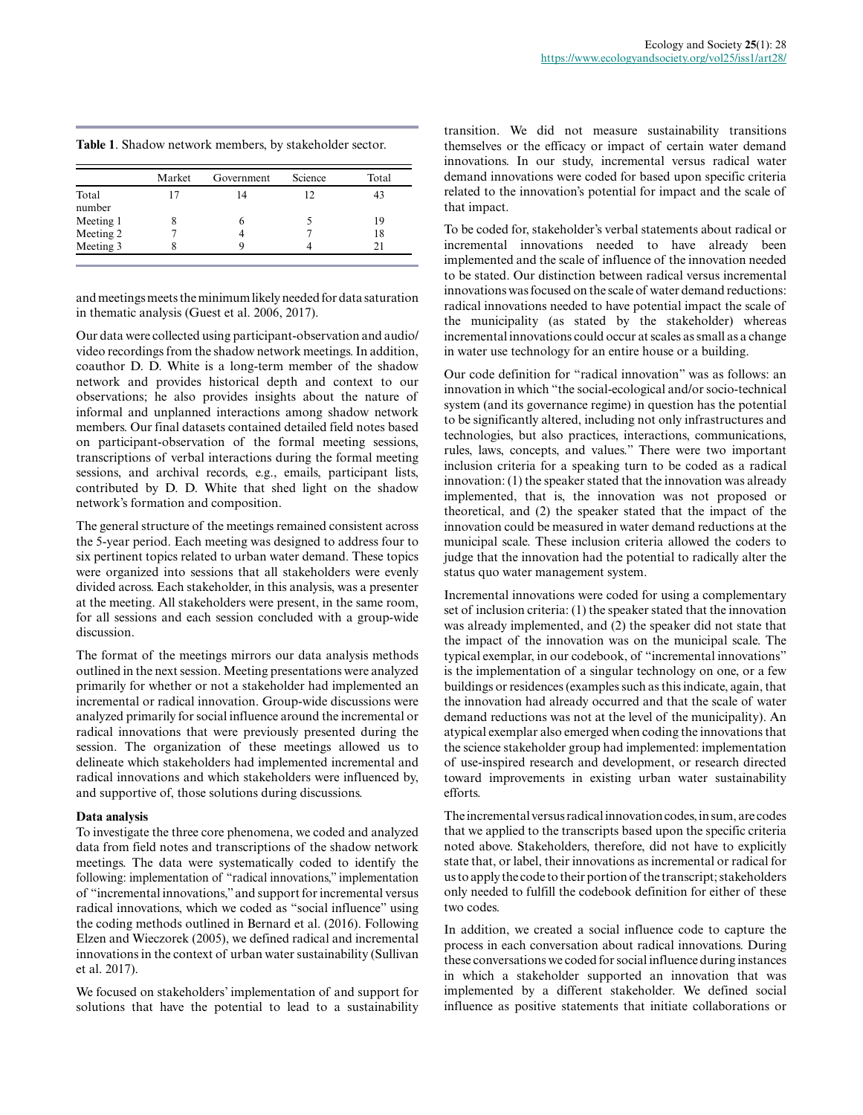**Table 1**. Shadow network members, by stakeholder sector.

|           | Market | Government | Science | Total |
|-----------|--------|------------|---------|-------|
| Total     |        | 14         | 12      |       |
| number    |        |            |         |       |
| Meeting 1 |        |            |         | 19    |
| Meeting 2 |        |            |         | 18    |
| Meeting 3 |        |            |         |       |

and meetings meets the minimum likely needed for data saturation in thematic analysis (Guest et al. 2006, 2017).

Our data were collected using participant-observation and audio/ video recordings from the shadow network meetings. In addition, coauthor D. D. White is a long-term member of the shadow network and provides historical depth and context to our observations; he also provides insights about the nature of informal and unplanned interactions among shadow network members. Our final datasets contained detailed field notes based on participant-observation of the formal meeting sessions, transcriptions of verbal interactions during the formal meeting sessions, and archival records, e.g., emails, participant lists, contributed by D. D. White that shed light on the shadow network's formation and composition.

The general structure of the meetings remained consistent across the 5-year period. Each meeting was designed to address four to six pertinent topics related to urban water demand. These topics were organized into sessions that all stakeholders were evenly divided across. Each stakeholder, in this analysis, was a presenter at the meeting. All stakeholders were present, in the same room, for all sessions and each session concluded with a group-wide discussion.

The format of the meetings mirrors our data analysis methods outlined in the next session. Meeting presentations were analyzed primarily for whether or not a stakeholder had implemented an incremental or radical innovation. Group-wide discussions were analyzed primarily for social influence around the incremental or radical innovations that were previously presented during the session. The organization of these meetings allowed us to delineate which stakeholders had implemented incremental and radical innovations and which stakeholders were influenced by, and supportive of, those solutions during discussions.

#### **Data analysis**

To investigate the three core phenomena, we coded and analyzed data from field notes and transcriptions of the shadow network meetings. The data were systematically coded to identify the following: implementation of "radical innovations," implementation of "incremental innovations," and support for incremental versus radical innovations, which we coded as "social influence" using the coding methods outlined in Bernard et al. (2016). Following Elzen and Wieczorek (2005), we defined radical and incremental innovations in the context of urban water sustainability (Sullivan et al. 2017).

We focused on stakeholders' implementation of and support for solutions that have the potential to lead to a sustainability transition. We did not measure sustainability transitions themselves or the efficacy or impact of certain water demand innovations. In our study, incremental versus radical water demand innovations were coded for based upon specific criteria related to the innovation's potential for impact and the scale of that impact.

To be coded for, stakeholder's verbal statements about radical or incremental innovations needed to have already been implemented and the scale of influence of the innovation needed to be stated. Our distinction between radical versus incremental innovations was focused on the scale of water demand reductions: radical innovations needed to have potential impact the scale of the municipality (as stated by the stakeholder) whereas incremental innovations could occur at scales as small as a change in water use technology for an entire house or a building.

Our code definition for "radical innovation" was as follows: an innovation in which "the social-ecological and/or socio-technical system (and its governance regime) in question has the potential to be significantly altered, including not only infrastructures and technologies, but also practices, interactions, communications, rules, laws, concepts, and values." There were two important inclusion criteria for a speaking turn to be coded as a radical innovation: (1) the speaker stated that the innovation was already implemented, that is, the innovation was not proposed or theoretical, and (2) the speaker stated that the impact of the innovation could be measured in water demand reductions at the municipal scale. These inclusion criteria allowed the coders to judge that the innovation had the potential to radically alter the status quo water management system.

Incremental innovations were coded for using a complementary set of inclusion criteria: (1) the speaker stated that the innovation was already implemented, and (2) the speaker did not state that the impact of the innovation was on the municipal scale. The typical exemplar, in our codebook, of "incremental innovations" is the implementation of a singular technology on one, or a few buildings or residences (examples such as this indicate, again, that the innovation had already occurred and that the scale of water demand reductions was not at the level of the municipality). An atypical exemplar also emerged when coding the innovations that the science stakeholder group had implemented: implementation of use-inspired research and development, or research directed toward improvements in existing urban water sustainability efforts.

The incremental versus radical innovation codes, in sum, are codes that we applied to the transcripts based upon the specific criteria noted above. Stakeholders, therefore, did not have to explicitly state that, or label, their innovations as incremental or radical for us to apply the code to their portion of the transcript; stakeholders only needed to fulfill the codebook definition for either of these two codes.

In addition, we created a social influence code to capture the process in each conversation about radical innovations. During these conversations we coded for social influence during instances in which a stakeholder supported an innovation that was implemented by a different stakeholder. We defined social influence as positive statements that initiate collaborations or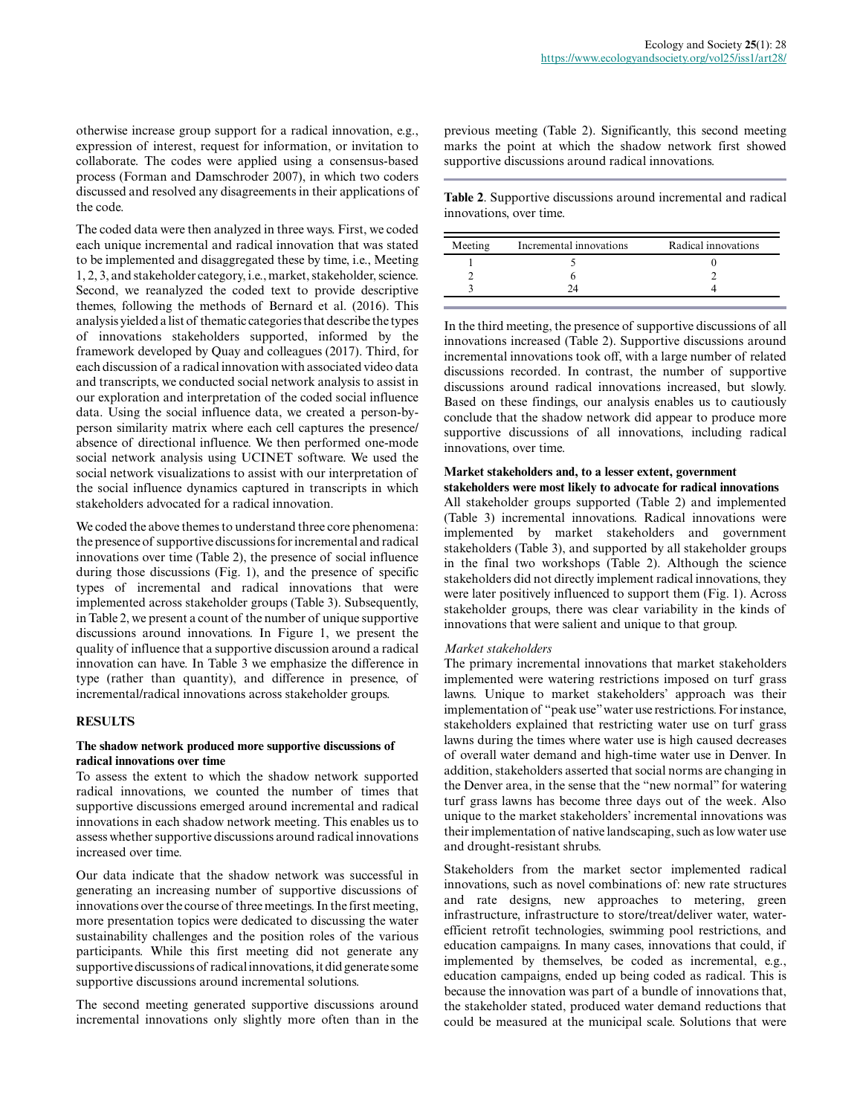otherwise increase group support for a radical innovation, e.g., expression of interest, request for information, or invitation to collaborate. The codes were applied using a consensus-based process (Forman and Damschroder 2007), in which two coders discussed and resolved any disagreements in their applications of the code.

The coded data were then analyzed in three ways. First, we coded each unique incremental and radical innovation that was stated to be implemented and disaggregated these by time, i.e., Meeting 1, 2, 3, and stakeholder category, i.e., market, stakeholder, science. Second, we reanalyzed the coded text to provide descriptive themes, following the methods of Bernard et al. (2016). This analysis yielded a list of thematic categories that describe the types of innovations stakeholders supported, informed by the framework developed by Quay and colleagues (2017). Third, for each discussion of a radical innovation with associated video data and transcripts, we conducted social network analysis to assist in our exploration and interpretation of the coded social influence data. Using the social influence data, we created a person-byperson similarity matrix where each cell captures the presence/ absence of directional influence. We then performed one-mode social network analysis using UCINET software. We used the social network visualizations to assist with our interpretation of the social influence dynamics captured in transcripts in which stakeholders advocated for a radical innovation.

We coded the above themes to understand three core phenomena: the presence of supportive discussions for incremental and radical innovations over time (Table 2), the presence of social influence during those discussions (Fig. 1), and the presence of specific types of incremental and radical innovations that were implemented across stakeholder groups (Table 3). Subsequently, in Table 2, we present a count of the number of unique supportive discussions around innovations. In Figure 1, we present the quality of influence that a supportive discussion around a radical innovation can have. In Table 3 we emphasize the difference in type (rather than quantity), and difference in presence, of incremental/radical innovations across stakeholder groups.

### **RESULTS**

### **The shadow network produced more supportive discussions of radical innovations over time**

To assess the extent to which the shadow network supported radical innovations, we counted the number of times that supportive discussions emerged around incremental and radical innovations in each shadow network meeting. This enables us to assess whether supportive discussions around radical innovations increased over time.

Our data indicate that the shadow network was successful in generating an increasing number of supportive discussions of innovations over the course of three meetings. In the first meeting, more presentation topics were dedicated to discussing the water sustainability challenges and the position roles of the various participants. While this first meeting did not generate any supportive discussions of radical innovations, it did generate some supportive discussions around incremental solutions.

The second meeting generated supportive discussions around incremental innovations only slightly more often than in the previous meeting (Table 2). Significantly, this second meeting marks the point at which the shadow network first showed supportive discussions around radical innovations.

**Table 2**. Supportive discussions around incremental and radical innovations, over time.

| Meeting | Incremental innovations | Radical innovations |
|---------|-------------------------|---------------------|
|         |                         |                     |
|         |                         |                     |
|         |                         |                     |

In the third meeting, the presence of supportive discussions of all innovations increased (Table 2). Supportive discussions around incremental innovations took off, with a large number of related discussions recorded. In contrast, the number of supportive discussions around radical innovations increased, but slowly. Based on these findings, our analysis enables us to cautiously conclude that the shadow network did appear to produce more supportive discussions of all innovations, including radical innovations, over time.

## **Market stakeholders and, to a lesser extent, government stakeholders were most likely to advocate for radical innovations**

All stakeholder groups supported (Table 2) and implemented (Table 3) incremental innovations. Radical innovations were implemented by market stakeholders and government stakeholders (Table 3), and supported by all stakeholder groups in the final two workshops (Table 2). Although the science stakeholders did not directly implement radical innovations, they were later positively influenced to support them (Fig. 1). Across stakeholder groups, there was clear variability in the kinds of innovations that were salient and unique to that group.

### *Market stakeholders*

The primary incremental innovations that market stakeholders implemented were watering restrictions imposed on turf grass lawns. Unique to market stakeholders' approach was their implementation of "peak use" water use restrictions. For instance, stakeholders explained that restricting water use on turf grass lawns during the times where water use is high caused decreases of overall water demand and high-time water use in Denver. In addition, stakeholders asserted that social norms are changing in the Denver area, in the sense that the "new normal" for watering turf grass lawns has become three days out of the week. Also unique to the market stakeholders' incremental innovations was their implementation of native landscaping, such as low water use and drought-resistant shrubs.

Stakeholders from the market sector implemented radical innovations, such as novel combinations of: new rate structures and rate designs, new approaches to metering, green infrastructure, infrastructure to store/treat/deliver water, waterefficient retrofit technologies, swimming pool restrictions, and education campaigns. In many cases, innovations that could, if implemented by themselves, be coded as incremental, e.g., education campaigns, ended up being coded as radical. This is because the innovation was part of a bundle of innovations that, the stakeholder stated, produced water demand reductions that could be measured at the municipal scale. Solutions that were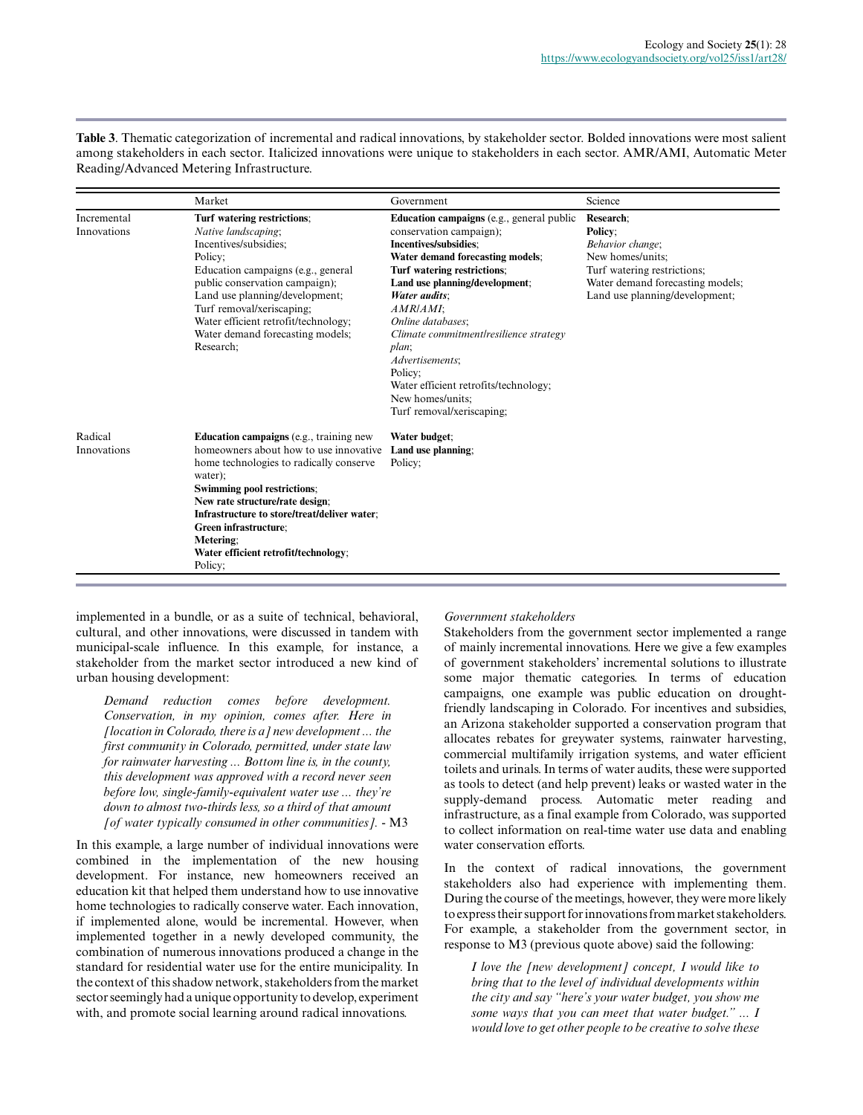**Table 3**. Thematic categorization of incremental and radical innovations, by stakeholder sector. Bolded innovations were most salient among stakeholders in each sector. Italicized innovations were unique to stakeholders in each sector. AMR/AMI, Automatic Meter Reading/Advanced Metering Infrastructure.

|                            | Market                                                                                                                                                                                                                                                                                                                                                    | Government                                                                                                                                                                                                                                                                                                                                                                                                                             | Science                                                                                                                                                           |
|----------------------------|-----------------------------------------------------------------------------------------------------------------------------------------------------------------------------------------------------------------------------------------------------------------------------------------------------------------------------------------------------------|----------------------------------------------------------------------------------------------------------------------------------------------------------------------------------------------------------------------------------------------------------------------------------------------------------------------------------------------------------------------------------------------------------------------------------------|-------------------------------------------------------------------------------------------------------------------------------------------------------------------|
| Incremental<br>Innovations | Turf watering restrictions;<br>Native landscaping;<br>Incentives/subsidies:<br>Policy:<br>Education campaigns (e.g., general<br>public conservation campaign);<br>Land use planning/development;<br>Turf removal/xeriscaping;<br>Water efficient retrofit/technology;<br>Water demand forecasting models;<br>Research:                                    | <b>Education campaigns</b> (e.g., general public<br>conservation campaign);<br>Incentives/subsidies:<br>Water demand forecasting models;<br>Turf watering restrictions;<br>Land use planning/development;<br>Water audits:<br>AMR/AMI:<br>Online databases:<br>Climate commitment/resilience strategy<br>plan:<br>Advertisements;<br>Policy:<br>Water efficient retrofits/technology;<br>New homes/units:<br>Turf removal/xeriscaping: | Research:<br>Policy:<br>Behavior change;<br>New homes/units;<br>Turf watering restrictions;<br>Water demand forecasting models;<br>Land use planning/development; |
| Radical<br>Innovations     | <b>Education campaigns</b> (e.g., training new<br>homeowners about how to use innovative<br>home technologies to radically conserve<br>water);<br>Swimming pool restrictions;<br>New rate structure/rate design;<br>Infrastructure to store/treat/deliver water;<br>Green infrastructure;<br>Metering:<br>Water efficient retrofit/technology;<br>Policy: | Water budget;<br>Land use planning;<br>Policy:                                                                                                                                                                                                                                                                                                                                                                                         |                                                                                                                                                                   |

implemented in a bundle, or as a suite of technical, behavioral, cultural, and other innovations, were discussed in tandem with municipal-scale influence. In this example, for instance, a stakeholder from the market sector introduced a new kind of urban housing development:

*Demand reduction comes before development. Conservation, in my opinion, comes after. Here in [location in Colorado, there is a] new development ... the first community in Colorado, permitted, under state law for rainwater harvesting ... Bottom line is, in the county, this development was approved with a record never seen before low, single-family-equivalent water use ... they're down to almost two-thirds less, so a third of that amount [of water typically consumed in other communities].* - M3

In this example, a large number of individual innovations were combined in the implementation of the new housing development. For instance, new homeowners received an education kit that helped them understand how to use innovative home technologies to radically conserve water. Each innovation, if implemented alone, would be incremental. However, when implemented together in a newly developed community, the combination of numerous innovations produced a change in the standard for residential water use for the entire municipality. In the context of this shadow network, stakeholders from the market sector seemingly had a unique opportunity to develop, experiment with, and promote social learning around radical innovations.

### *Government stakeholders*

Stakeholders from the government sector implemented a range of mainly incremental innovations. Here we give a few examples of government stakeholders' incremental solutions to illustrate some major thematic categories. In terms of education campaigns, one example was public education on droughtfriendly landscaping in Colorado. For incentives and subsidies, an Arizona stakeholder supported a conservation program that allocates rebates for greywater systems, rainwater harvesting, commercial multifamily irrigation systems, and water efficient toilets and urinals. In terms of water audits, these were supported as tools to detect (and help prevent) leaks or wasted water in the supply-demand process. Automatic meter reading and infrastructure, as a final example from Colorado, was supported to collect information on real-time water use data and enabling water conservation efforts.

In the context of radical innovations, the government stakeholders also had experience with implementing them. During the course of the meetings, however, they were more likely to express their support for innovations from market stakeholders. For example, a stakeholder from the government sector, in response to M3 (previous quote above) said the following:

*I love the [new development] concept, I would like to bring that to the level of individual developments within the city and say "here's your water budget, you show me some ways that you can meet that water budget." ... I would love to get other people to be creative to solve these*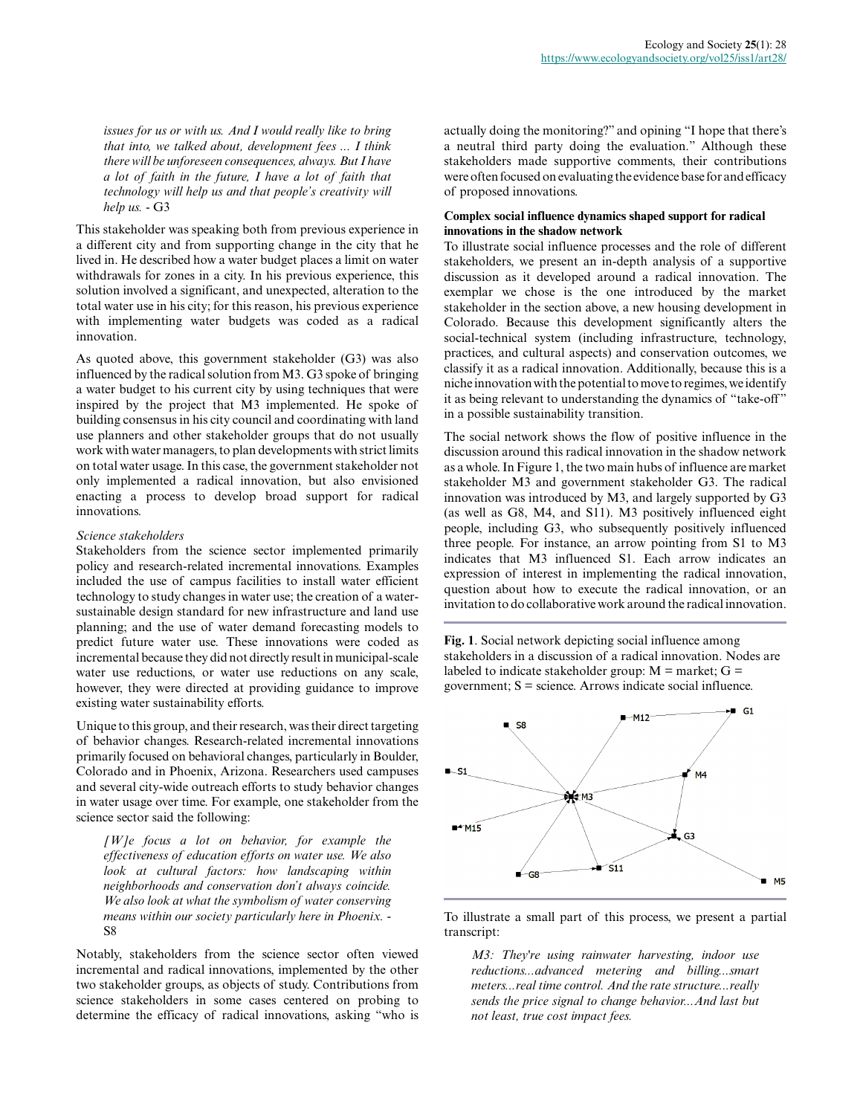*issues for us or with us. And I would really like to bring that into, we talked about, development fees ... I think there will be unforeseen consequences, always. But I have a lot of faith in the future, I have a lot of faith that technology will help us and that people's creativity will help us.* - G3

This stakeholder was speaking both from previous experience in a different city and from supporting change in the city that he lived in. He described how a water budget places a limit on water withdrawals for zones in a city. In his previous experience, this solution involved a significant, and unexpected, alteration to the total water use in his city; for this reason, his previous experience with implementing water budgets was coded as a radical innovation.

As quoted above, this government stakeholder (G3) was also influenced by the radical solution from M3. G3 spoke of bringing a water budget to his current city by using techniques that were inspired by the project that M3 implemented. He spoke of building consensus in his city council and coordinating with land use planners and other stakeholder groups that do not usually work with water managers, to plan developments with strict limits on total water usage. In this case, the government stakeholder not only implemented a radical innovation, but also envisioned enacting a process to develop broad support for radical innovations.

#### *Science stakeholders*

Stakeholders from the science sector implemented primarily policy and research-related incremental innovations. Examples included the use of campus facilities to install water efficient technology to study changes in water use; the creation of a watersustainable design standard for new infrastructure and land use planning; and the use of water demand forecasting models to predict future water use. These innovations were coded as incremental because they did not directly result in municipal-scale water use reductions, or water use reductions on any scale, however, they were directed at providing guidance to improve existing water sustainability efforts.

Unique to this group, and their research, was their direct targeting of behavior changes. Research-related incremental innovations primarily focused on behavioral changes, particularly in Boulder, Colorado and in Phoenix, Arizona. Researchers used campuses and several city-wide outreach efforts to study behavior changes in water usage over time. For example, one stakeholder from the science sector said the following:

*[W]e focus a lot on behavior, for example the effectiveness of education efforts on water use. We also look at cultural factors: how landscaping within neighborhoods and conservation don't always coincide. We also look at what the symbolism of water conserving means within our society particularly here in Phoenix.* - S8

Notably, stakeholders from the science sector often viewed incremental and radical innovations, implemented by the other two stakeholder groups, as objects of study. Contributions from science stakeholders in some cases centered on probing to determine the efficacy of radical innovations, asking "who is

actually doing the monitoring?" and opining "I hope that there's a neutral third party doing the evaluation." Although these stakeholders made supportive comments, their contributions were often focused on evaluating the evidence base for and efficacy of proposed innovations.

## **Complex social influence dynamics shaped support for radical innovations in the shadow network**

To illustrate social influence processes and the role of different stakeholders, we present an in-depth analysis of a supportive discussion as it developed around a radical innovation. The exemplar we chose is the one introduced by the market stakeholder in the section above, a new housing development in Colorado. Because this development significantly alters the social-technical system (including infrastructure, technology, practices, and cultural aspects) and conservation outcomes, we classify it as a radical innovation. Additionally, because this is a niche innovation with the potential to move to regimes, we identify it as being relevant to understanding the dynamics of "take-off" in a possible sustainability transition.

The social network shows the flow of positive influence in the discussion around this radical innovation in the shadow network as a whole. In Figure 1, the two main hubs of influence are market stakeholder M3 and government stakeholder G3. The radical innovation was introduced by M3, and largely supported by G3 (as well as G8, M4, and S11). M3 positively influenced eight people, including G3, who subsequently positively influenced three people. For instance, an arrow pointing from S1 to M3 indicates that M3 influenced S1. Each arrow indicates an expression of interest in implementing the radical innovation, question about how to execute the radical innovation, or an invitation to do collaborative work around the radical innovation.

**Fig. 1**. Social network depicting social influence among stakeholders in a discussion of a radical innovation. Nodes are labeled to indicate stakeholder group:  $M =$  market;  $G =$ government;  $S =$  science. Arrows indicate social influence.



To illustrate a small part of this process, we present a partial transcript:

*M3: They're using rainwater harvesting, indoor use reductions...advanced metering and billing...smart meters...real time control. And the rate structure...really sends the price signal to change behavior...And last but not least, true cost impact fees.*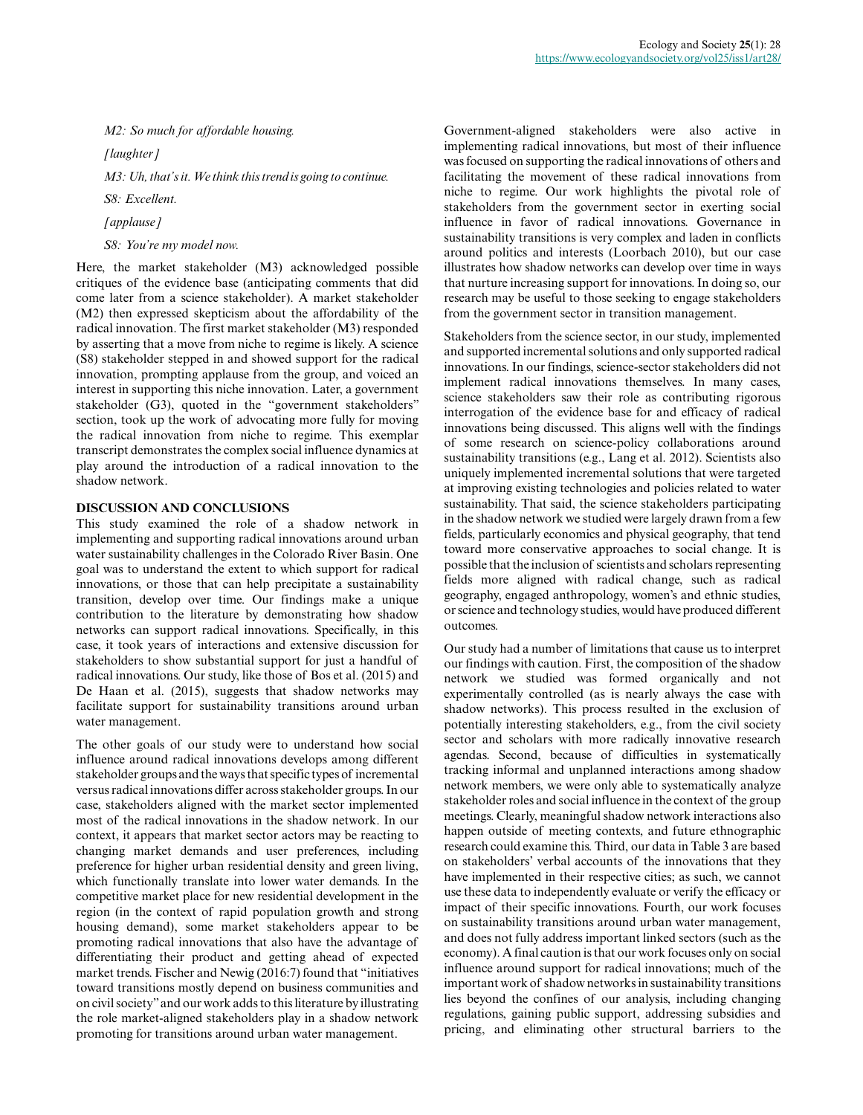*M2: So much for affordable housing.*

*[laughter]*

*M3: Uh, that's it. We think this trend is going to continue.*

*S8: Excellent.*

*[applause]*

*S8: You're my model now.*

Here, the market stakeholder (M3) acknowledged possible critiques of the evidence base (anticipating comments that did come later from a science stakeholder). A market stakeholder (M2) then expressed skepticism about the affordability of the radical innovation. The first market stakeholder (M3) responded by asserting that a move from niche to regime is likely. A science (S8) stakeholder stepped in and showed support for the radical innovation, prompting applause from the group, and voiced an interest in supporting this niche innovation. Later, a government stakeholder (G3), quoted in the "government stakeholders" section, took up the work of advocating more fully for moving the radical innovation from niche to regime. This exemplar transcript demonstrates the complex social influence dynamics at play around the introduction of a radical innovation to the shadow network.

## **DISCUSSION AND CONCLUSIONS**

This study examined the role of a shadow network in implementing and supporting radical innovations around urban water sustainability challenges in the Colorado River Basin. One goal was to understand the extent to which support for radical innovations, or those that can help precipitate a sustainability transition, develop over time. Our findings make a unique contribution to the literature by demonstrating how shadow networks can support radical innovations. Specifically, in this case, it took years of interactions and extensive discussion for stakeholders to show substantial support for just a handful of radical innovations. Our study, like those of Bos et al. (2015) and De Haan et al. (2015), suggests that shadow networks may facilitate support for sustainability transitions around urban water management.

The other goals of our study were to understand how social influence around radical innovations develops among different stakeholder groups and the ways that specific types of incremental versus radical innovations differ across stakeholder groups. In our case, stakeholders aligned with the market sector implemented most of the radical innovations in the shadow network. In our context, it appears that market sector actors may be reacting to changing market demands and user preferences, including preference for higher urban residential density and green living, which functionally translate into lower water demands. In the competitive market place for new residential development in the region (in the context of rapid population growth and strong housing demand), some market stakeholders appear to be promoting radical innovations that also have the advantage of differentiating their product and getting ahead of expected market trends. Fischer and Newig (2016:7) found that "initiatives toward transitions mostly depend on business communities and on civil society" and our work adds to this literature by illustrating the role market-aligned stakeholders play in a shadow network promoting for transitions around urban water management.

Government-aligned stakeholders were also active in implementing radical innovations, but most of their influence was focused on supporting the radical innovations of others and facilitating the movement of these radical innovations from niche to regime. Our work highlights the pivotal role of stakeholders from the government sector in exerting social influence in favor of radical innovations. Governance in sustainability transitions is very complex and laden in conflicts around politics and interests (Loorbach 2010), but our case illustrates how shadow networks can develop over time in ways that nurture increasing support for innovations. In doing so, our research may be useful to those seeking to engage stakeholders from the government sector in transition management.

Stakeholders from the science sector, in our study, implemented and supported incremental solutions and only supported radical innovations. In our findings, science-sector stakeholders did not implement radical innovations themselves. In many cases, science stakeholders saw their role as contributing rigorous interrogation of the evidence base for and efficacy of radical innovations being discussed. This aligns well with the findings of some research on science-policy collaborations around sustainability transitions (e.g., Lang et al. 2012). Scientists also uniquely implemented incremental solutions that were targeted at improving existing technologies and policies related to water sustainability. That said, the science stakeholders participating in the shadow network we studied were largely drawn from a few fields, particularly economics and physical geography, that tend toward more conservative approaches to social change. It is possible that the inclusion of scientists and scholars representing fields more aligned with radical change, such as radical geography, engaged anthropology, women's and ethnic studies, or science and technology studies, would have produced different outcomes.

Our study had a number of limitations that cause us to interpret our findings with caution. First, the composition of the shadow network we studied was formed organically and not experimentally controlled (as is nearly always the case with shadow networks). This process resulted in the exclusion of potentially interesting stakeholders, e.g., from the civil society sector and scholars with more radically innovative research agendas. Second, because of difficulties in systematically tracking informal and unplanned interactions among shadow network members, we were only able to systematically analyze stakeholder roles and social influence in the context of the group meetings. Clearly, meaningful shadow network interactions also happen outside of meeting contexts, and future ethnographic research could examine this. Third, our data in Table 3 are based on stakeholders' verbal accounts of the innovations that they have implemented in their respective cities; as such, we cannot use these data to independently evaluate or verify the efficacy or impact of their specific innovations. Fourth, our work focuses on sustainability transitions around urban water management, and does not fully address important linked sectors (such as the economy). A final caution is that our work focuses only on social influence around support for radical innovations; much of the important work of shadow networks in sustainability transitions lies beyond the confines of our analysis, including changing regulations, gaining public support, addressing subsidies and pricing, and eliminating other structural barriers to the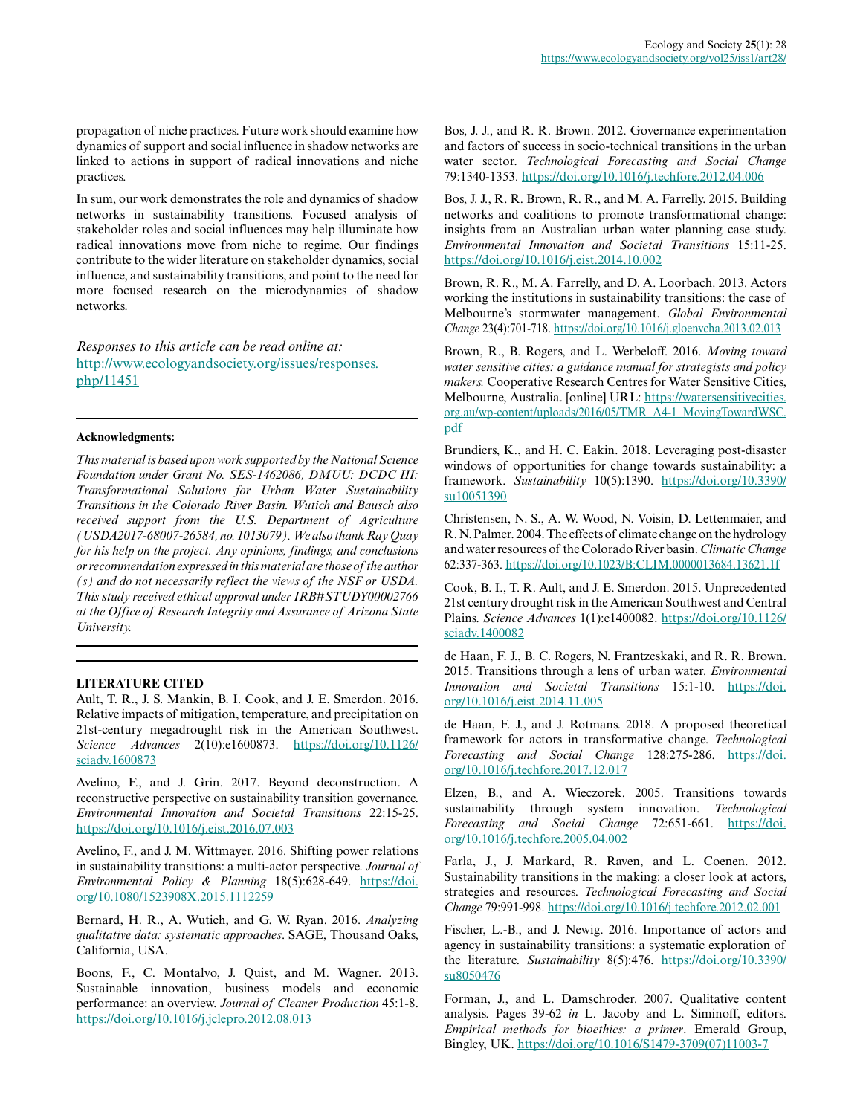propagation of niche practices. Future work should examine how dynamics of support and social influence in shadow networks are linked to actions in support of radical innovations and niche practices.

In sum, our work demonstrates the role and dynamics of shadow networks in sustainability transitions. Focused analysis of stakeholder roles and social influences may help illuminate how radical innovations move from niche to regime. Our findings contribute to the wider literature on stakeholder dynamics, social influence, and sustainability transitions, and point to the need for more focused research on the microdynamics of shadow networks.

*Responses to this article can be read online at:* [http://www.ecologyandsociety.org/issues/responses.](http://www.ecologyandsociety.org/issues/responses.php/11451) [php/11451](http://www.ecologyandsociety.org/issues/responses.php/11451)

### **Acknowledgments:**

*This material is based upon work supported by the National Science Foundation under Grant No. SES-1462086, DMUU: DCDC III: Transformational Solutions for Urban Water Sustainability Transitions in the Colorado River Basin. Wutich and Bausch also received support from the U.S. Department of Agriculture (USDA2017-68007-26584, no. 1013079). We also thank Ray Quay for his help on the project. Any opinions, findings, and conclusions or recommendation expressed in this material are those of the author (s) and do not necessarily reflect the views of the NSF or USDA. This study received ethical approval under IRB#STUDY00002766 at the Office of Research Integrity and Assurance of Arizona State University.*

## **LITERATURE CITED**

Ault, T. R., J. S. Mankin, B. I. Cook, and J. E. Smerdon. 2016. Relative impacts of mitigation, temperature, and precipitation on 21st-century megadrought risk in the American Southwest. *Science Advances* 2(10):e1600873. [https://doi.org/10.1126/](https://doi.org/10.1126/sciadv.1600873) [sciadv.1600873](https://doi.org/10.1126/sciadv.1600873) 

Avelino, F., and J. Grin. 2017. Beyond deconstruction. A reconstructive perspective on sustainability transition governance. *Environmental Innovation and Societal Transitions* 22:15-25. <https://doi.org/10.1016/j.eist.2016.07.003>

Avelino, F., and J. M. Wittmayer. 2016. Shifting power relations in sustainability transitions: a multi-actor perspective. *Journal of Environmental Policy & Planning* 18(5):628-649. [https://doi.](https://doi.org/10.1080/1523908X.2015.1112259) [org/10.1080/1523908X.2015.1112259](https://doi.org/10.1080/1523908X.2015.1112259)

Bernard, H. R., A. Wutich, and G. W. Ryan. 2016. *Analyzing qualitative data: systematic approaches*. SAGE, Thousand Oaks, California, USA.

Boons, F., C. Montalvo, J. Quist, and M. Wagner. 2013. Sustainable innovation, business models and economic performance: an overview. *Journal of Cleaner Production* 45:1-8. <https://doi.org/10.1016/j.jclepro.2012.08.013>

Bos, J. J., and R. R. Brown. 2012. Governance experimentation and factors of success in socio-technical transitions in the urban water sector. *Technological Forecasting and Social Change* 79:1340-1353.<https://doi.org/10.1016/j.techfore.2012.04.006>

Bos, J. J., R. R. Brown, R. R., and M. A. Farrelly. 2015. Building networks and coalitions to promote transformational change: insights from an Australian urban water planning case study. *Environmental Innovation and Societal Transitions* 15:11-25. <https://doi.org/10.1016/j.eist.2014.10.002>

Brown, R. R., M. A. Farrelly, and D. A. Loorbach. 2013. Actors working the institutions in sustainability transitions: the case of Melbourne's stormwater management. *Global Environmental Change* 23(4):701-718. <https://doi.org/10.1016/j.gloenvcha.2013.02.013>

Brown, R., B. Rogers, and L. Werbeloff. 2016. *Moving toward water sensitive cities: a guidance manual for strategists and policy makers.* Cooperative Research Centres for Water Sensitive Cities, Melbourne, Australia. [online] URL: [https://watersensitivecities.](https://watersensitivecities.org.au/wp-content/uploads/2016/05/TMR_A4-1_MovingTowardWSC.pdf) [org.au/wp-content/uploads/2016/05/TMR\\_A4-1\\_MovingTowardWSC.](https://watersensitivecities.org.au/wp-content/uploads/2016/05/TMR_A4-1_MovingTowardWSC.pdf) [pdf](https://watersensitivecities.org.au/wp-content/uploads/2016/05/TMR_A4-1_MovingTowardWSC.pdf)

Brundiers, K., and H. C. Eakin. 2018. Leveraging post-disaster windows of opportunities for change towards sustainability: a framework. *Sustainability* 10(5):1390. [https://doi.org/10.3390/](https://doi.org/10.3390/su10051390) [su10051390](https://doi.org/10.3390/su10051390)

Christensen, N. S., A. W. Wood, N. Voisin, D. Lettenmaier, and R. N. Palmer. 2004. The effects of climate change on the hydrology and water resources of the Colorado River basin. *Climatic Change* 62:337-363. <https://doi.org/10.1023/B:CLIM.0000013684.13621.1f>

Cook, B. I., T. R. Ault, and J. E. Smerdon. 2015. Unprecedented 21st century drought risk in the American Southwest and Central Plains. *Science Advances* 1(1):e1400082. [https://doi.org/10.1126/](https://doi.org/10.1126/sciadv.1400082) [sciadv.1400082](https://doi.org/10.1126/sciadv.1400082) 

de Haan, F. J., B. C. Rogers, N. Frantzeskaki, and R. R. Brown. 2015. Transitions through a lens of urban water. *Environmental Innovation and Societal Transitions* 15:1-10. [https://doi.](https://doi.org/10.1016/j.eist.2014.11.005) [org/10.1016/j.eist.2014.11.005](https://doi.org/10.1016/j.eist.2014.11.005) 

de Haan, F. J., and J. Rotmans. 2018. A proposed theoretical framework for actors in transformative change. *Technological Forecasting and Social Change* 128:275-286. [https://doi.](https://doi.org/10.1016/j.techfore.2017.12.017) [org/10.1016/j.techfore.2017.12.017](https://doi.org/10.1016/j.techfore.2017.12.017)

Elzen, B., and A. Wieczorek. 2005. Transitions towards sustainability through system innovation. *Technological Forecasting and Social Change* 72:651-661. [https://doi.](https://doi.org/10.1016/j.techfore.2005.04.002) [org/10.1016/j.techfore.2005.04.002](https://doi.org/10.1016/j.techfore.2005.04.002)

Farla, J., J. Markard, R. Raven, and L. Coenen. 2012. Sustainability transitions in the making: a closer look at actors, strategies and resources. *Technological Forecasting and Social Change* 79:991-998. <https://doi.org/10.1016/j.techfore.2012.02.001>

Fischer, L.-B., and J. Newig. 2016. Importance of actors and agency in sustainability transitions: a systematic exploration of the literature. *Sustainability* 8(5):476. [https://doi.org/10.3390/](https://doi.org/10.3390/su8050476) [su8050476](https://doi.org/10.3390/su8050476) 

Forman, J., and L. Damschroder. 2007. Qualitative content analysis. Pages 39-62 *in* L. Jacoby and L. Siminoff, editors. *Empirical methods for bioethics: a primer*. Emerald Group, Bingley, UK. [https://doi.org/10.1016/S1479-3709\(07\)11003-7](https://doi.org/10.1016/S1479-3709(07)11003-7)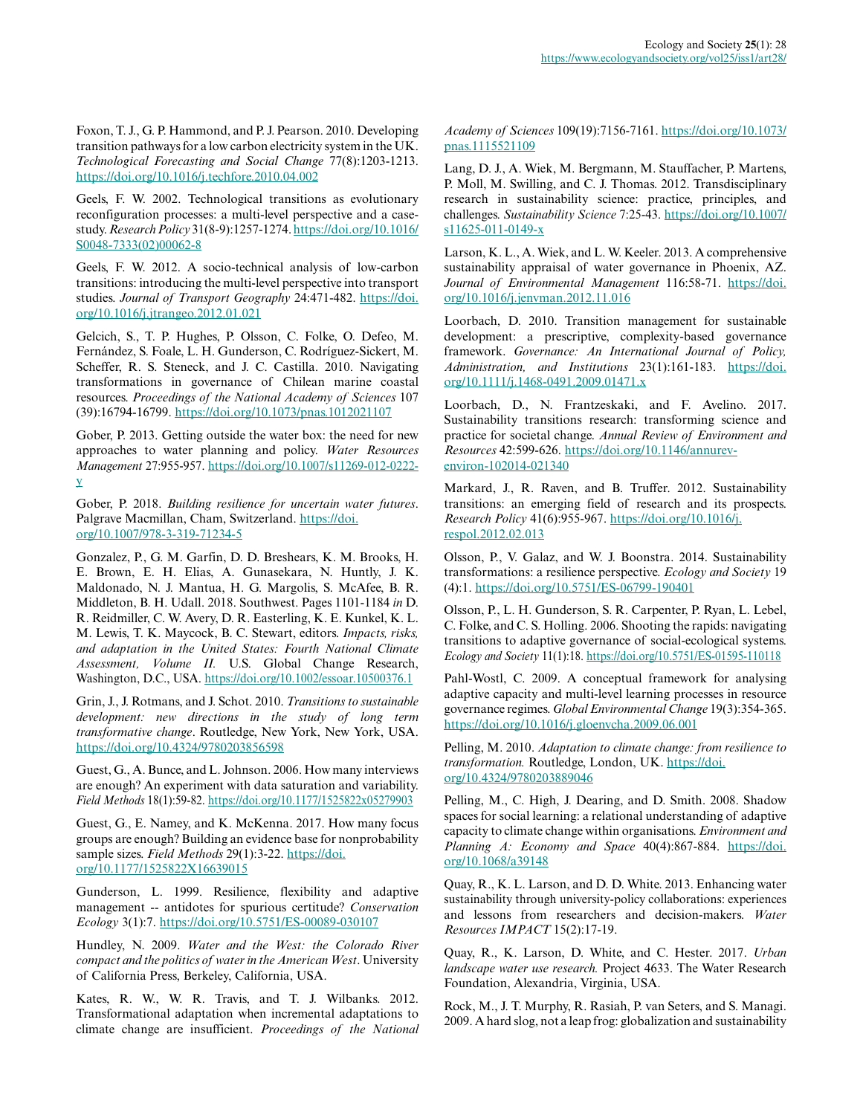Foxon, T. J., G. P. Hammond, and P. J. Pearson. 2010. Developing transition pathways for a low carbon electricity system in the UK. *Technological Forecasting and Social Change* 77(8):1203-1213. <https://doi.org/10.1016/j.techfore.2010.04.002>

Geels, F. W. 2002. Technological transitions as evolutionary reconfiguration processes: a multi-level perspective and a casestudy. *Research Policy* 31(8-9):1257-1274. [https://doi.org/10.1016/](https://doi.org/10.1016/S0048-7333(02)00062-8) [S0048-7333\(02\)00062-8](https://doi.org/10.1016/S0048-7333(02)00062-8) 

Geels, F. W. 2012. A socio-technical analysis of low-carbon transitions: introducing the multi-level perspective into transport studies. Journal of Transport Geography 24:471-482. [https://doi.](https://doi.org/10.1016/j.jtrangeo.2012.01.021) [org/10.1016/j.jtrangeo.2012.01.021](https://doi.org/10.1016/j.jtrangeo.2012.01.021)

Gelcich, S., T. P. Hughes, P. Olsson, C. Folke, O. Defeo, M. Fernández, S. Foale, L. H. Gunderson, C. Rodríguez-Sickert, M. Scheffer, R. S. Steneck, and J. C. Castilla. 2010. Navigating transformations in governance of Chilean marine coastal resources. *Proceedings of the National Academy of Sciences* 107 (39):16794-16799.<https://doi.org/10.1073/pnas.1012021107>

Gober, P. 2013. Getting outside the water box: the need for new approaches to water planning and policy. *Water Resources Management* 27:955-957. [https://doi.org/10.1007/s11269-012-0222](https://doi.org/10.1007/s11269-012-0222-y) [y](https://doi.org/10.1007/s11269-012-0222-y)

Gober, P. 2018. *Building resilience for uncertain water futures*. Palgrave Macmillan, Cham, Switzerland. [https://doi.](https://doi.org/10.1007/978-3-319-71234-5) [org/10.1007/978-3-319-71234-5](https://doi.org/10.1007/978-3-319-71234-5) 

Gonzalez, P., G. M. Garfin, D. D. Breshears, K. M. Brooks, H. E. Brown, E. H. Elias, A. Gunasekara, N. Huntly, J. K. Maldonado, N. J. Mantua, H. G. Margolis, S. McAfee, B. R. Middleton, B. H. Udall. 2018. Southwest. Pages 1101-1184 *in* D. R. Reidmiller, C. W. Avery, D. R. Easterling, K. E. Kunkel, K. L. M. Lewis, T. K. Maycock, B. C. Stewart, editors. *Impacts, risks, and adaptation in the United States: Fourth National Climate Assessment, Volume II.* U.S. Global Change Research, Washington, D.C., USA.<https://doi.org/10.1002/essoar.10500376.1>

Grin, J., J. Rotmans, and J. Schot. 2010. *Transitions to sustainable development: new directions in the study of long term transformative change*. Routledge, New York, New York, USA. <https://doi.org/10.4324/9780203856598>

Guest, G., A. Bunce, and L. Johnson. 2006. How many interviews are enough? An experiment with data saturation and variability. *Field Methods* 18(1):59-82. <https://doi.org/10.1177/1525822x05279903>

Guest, G., E. Namey, and K. McKenna. 2017. How many focus groups are enough? Building an evidence base for nonprobability sample sizes. *Field Methods* 29(1):3-22. [https://doi.](https://doi.org/10.1177/1525822X16639015) [org/10.1177/1525822X16639015](https://doi.org/10.1177/1525822X16639015) 

Gunderson, L. 1999. Resilience, flexibility and adaptive management -- antidotes for spurious certitude? *Conservation Ecology* 3(1):7.<https://doi.org/10.5751/ES-00089-030107>

Hundley, N. 2009. *Water and the West: the Colorado River compact and the politics of water in the American West*. University of California Press, Berkeley, California, USA.

Kates, R. W., W. R. Travis, and T. J. Wilbanks. 2012. Transformational adaptation when incremental adaptations to climate change are insufficient. *Proceedings of the National* *Academy of Sciences* 109(19):7156-7161. [https://doi.org/10.1073/](https://doi.org/10.1073/pnas.1115521109) [pnas.1115521109](https://doi.org/10.1073/pnas.1115521109) 

Lang, D. J., A. Wiek, M. Bergmann, M. Stauffacher, P. Martens, P. Moll, M. Swilling, and C. J. Thomas. 2012. Transdisciplinary research in sustainability science: practice, principles, and challenges. *Sustainability Science* 7:25-43. [https://doi.org/10.1007/](https://doi.org/10.1007/s11625-011-0149-x) [s11625-011-0149-x](https://doi.org/10.1007/s11625-011-0149-x) 

Larson, K. L., A. Wiek, and L. W. Keeler. 2013. A comprehensive sustainability appraisal of water governance in Phoenix, AZ. *Journal of Environmental Management* 116:58-71. [https://doi.](https://doi.org/10.1016/j.jenvman.2012.11.016) [org/10.1016/j.jenvman.2012.11.016](https://doi.org/10.1016/j.jenvman.2012.11.016)

Loorbach, D. 2010. Transition management for sustainable development: a prescriptive, complexity-based governance framework. *Governance: An International Journal of Policy, Administration, and Institutions* 23(1):161-183. [https://doi.](https://doi.org/10.1111/j.1468-0491.2009.01471.x) [org/10.1111/j.1468-0491.2009.01471.x](https://doi.org/10.1111/j.1468-0491.2009.01471.x)

Loorbach, D., N. Frantzeskaki, and F. Avelino. 2017. Sustainability transitions research: transforming science and practice for societal change. *Annual Review of Environment and Resources* 42:599-626. [https://doi.org/10.1146/annurev](https://doi.org/10.1146/annurev-environ-102014-021340)[environ-102014-021340](https://doi.org/10.1146/annurev-environ-102014-021340) 

Markard, J., R. Raven, and B. Truffer. 2012. Sustainability transitions: an emerging field of research and its prospects. *Research Policy* 41(6):955-967. [https://doi.org/10.1016/j.](https://doi.org/10.1016/j.respol.2012.02.013) [respol.2012.02.013](https://doi.org/10.1016/j.respol.2012.02.013) 

Olsson, P., V. Galaz, and W. J. Boonstra. 2014. Sustainability transformations: a resilience perspective. *Ecology and Society* 19 (4):1.<https://doi.org/10.5751/ES-06799-190401>

Olsson, P., L. H. Gunderson, S. R. Carpenter, P. Ryan, L. Lebel, C. Folke, and C. S. Holling. 2006. Shooting the rapids: navigating transitions to adaptive governance of social-ecological systems. *Ecology and Society* 11(1):18.<https://doi.org/10.5751/ES-01595-110118>

Pahl-Wostl, C. 2009. A conceptual framework for analysing adaptive capacity and multi-level learning processes in resource governance regimes. *Global Environmental Change* 19(3):354-365. <https://doi.org/10.1016/j.gloenvcha.2009.06.001>

Pelling, M. 2010. *Adaptation to climate change: from resilience to transformation.* Routledge, London, UK. [https://doi.](https://doi.org/10.4324/9780203889046) [org/10.4324/9780203889046](https://doi.org/10.4324/9780203889046) 

Pelling, M., C. High, J. Dearing, and D. Smith. 2008. Shadow spaces for social learning: a relational understanding of adaptive capacity to climate change within organisations. *Environment and Planning A: Economy and Space* 40(4):867-884. [https://doi.](https://doi.org/10.1068/a39148) [org/10.1068/a39148](https://doi.org/10.1068/a39148)

Quay, R., K. L. Larson, and D. D. White. 2013. Enhancing water sustainability through university-policy collaborations: experiences and lessons from researchers and decision-makers. *Water Resources IMPACT* 15(2):17-19.

Quay, R., K. Larson, D. White, and C. Hester. 2017. *Urban landscape water use research.* Project 4633. The Water Research Foundation, Alexandria, Virginia, USA.

Rock, M., J. T. Murphy, R. Rasiah, P. van Seters, and S. Managi. 2009. A hard slog, not a leap frog: globalization and sustainability